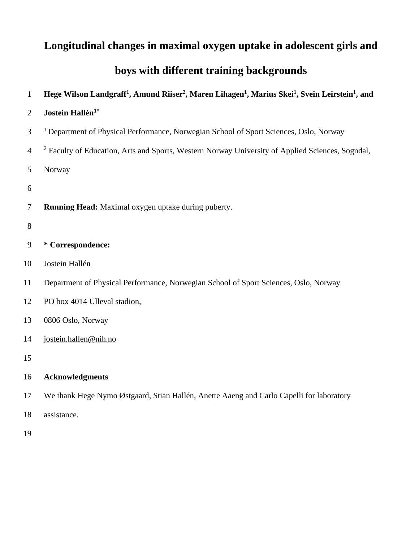# **Longitudinal changes in maximal oxygen uptake in adolescent girls and**

# **boys with different training backgrounds**

# **Hege Wilson Landgraff<sup>1</sup> , Amund Riiser<sup>2</sup> , Maren Lihagen<sup>1</sup> , Marius Skei<sup>1</sup> , Svein Leirstein<sup>1</sup> , and**

# **Jostein Hallén1\***

- <sup>1</sup> Department of Physical Performance, Norwegian School of Sport Sciences, Oslo, Norway
- <sup>2</sup> Faculty of Education, Arts and Sports, Western Norway University of Applied Sciences, Sogndal,

Norway

- 
- **Running Head:** Maximal oxygen uptake during puberty.
- 
- **\* Correspondence:**
- Jostein Hallén
- Department of Physical Performance, Norwegian School of Sport Sciences, Oslo, Norway
- PO box 4014 Ulleval stadion,
- 0806 Oslo, Norway
- [jostein.hallen@nih.no](mailto:jostein.hallen@nih.no)
- 
- **Acknowledgments**
- We thank Hege Nymo Østgaard, Stian Hallén, Anette Aaeng and Carlo Capelli for laboratory
- assistance.
-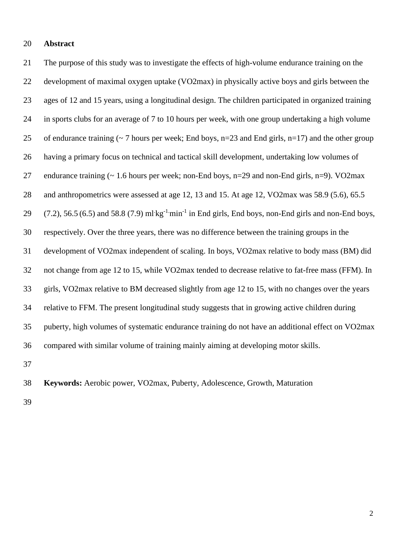#### **Abstract**

 The purpose of this study was to investigate the effects of high-volume endurance training on the development of maximal oxygen uptake (VO2max) in physically active boys and girls between the ages of 12 and 15 years, using a longitudinal design. The children participated in organized training in sports clubs for an average of 7 to 10 hours per week, with one group undertaking a high volume 25 of endurance training ( $\sim$  7 hours per week; End boys, n=23 and End girls, n=17) and the other group having a primary focus on technical and tactical skill development, undertaking low volumes of endurance training (~ 1.6 hours per week; non-End boys, n=29 and non-End girls, n=9). VO2max 28 and anthropometrics were assessed at age 12, 13 and 15. At age 12, VO2max was 58.9 (5.6), 65.5  $(7.2)$ , 56.5 (6.5) and 58.8 (7.9) ml·kg<sup>-1</sup>min<sup>-1</sup> in End girls, End boys, non-End girls and non-End boys, respectively. Over the three years, there was no difference between the training groups in the development of VO2max independent of scaling. In boys, VO2max relative to body mass (BM) did not change from age 12 to 15, while VO2max tended to decrease relative to fat-free mass (FFM). In girls, VO2max relative to BM decreased slightly from age 12 to 15, with no changes over the years relative to FFM. The present longitudinal study suggests that in growing active children during puberty, high volumes of systematic endurance training do not have an additional effect on VO2max compared with similar volume of training mainly aiming at developing motor skills. 

**Keywords:** Aerobic power, VO2max, Puberty, Adolescence, Growth, Maturation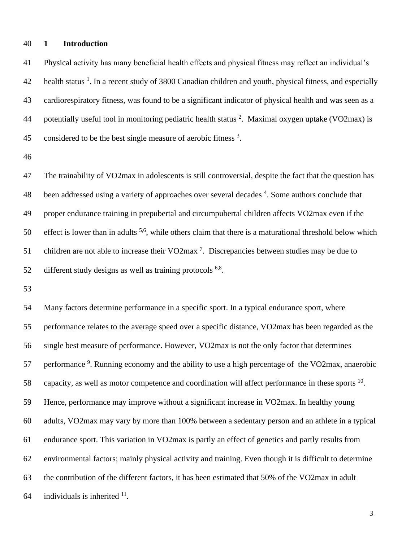#### **1 Introduction**

 Physical activity has many beneficial health effects and physical fitness may reflect an individual's 42 health status <sup>1</sup>. In a recent study of 3800 Canadian children and youth, physical fitness, and especially cardiorespiratory fitness, was found to be a significant indicator of physical health and was seen as a 44 potentially useful tool in monitoring pediatric health status . Maximal oxygen uptake (VO2max) is 45 considered to be the best single measure of aerobic fitness .

 The trainability of VO2max in adolescents is still controversial, despite the fact that the question has 48 been addressed using a variety of approaches over several decades <sup>4</sup>. Some authors conclude that proper endurance training in prepubertal and circumpubertal children affects VO2max even if the effect is lower than in adults <sup>5,6</sup>, while others claim that there is a maturational threshold below which 51 children are not able to increase their VO2max<sup>7</sup>. Discrepancies between studies may be due to 52 different study designs as well as training protocols  $6,8$ .

 Many factors determine performance in a specific sport. In a typical endurance sport, where performance relates to the average speed over a specific distance, VO2max has been regarded as the single best measure of performance. However, VO2max is not the only factor that determines 57 performance <sup>9</sup>. Running economy and the ability to use a high percentage of the VO2max, anaerobic 58 capacity, as well as motor competence and coordination will affect performance in these sports . Hence, performance may improve without a significant increase in VO2max. In healthy young adults, VO2max may vary by more than 100% between a sedentary person and an athlete in a typical endurance sport. This variation in VO2max is partly an effect of genetics and partly results from environmental factors; mainly physical activity and training. Even though it is difficult to determine the contribution of the different factors, it has been estimated that 50% of the VO2max in adult 64 individuals is inherited .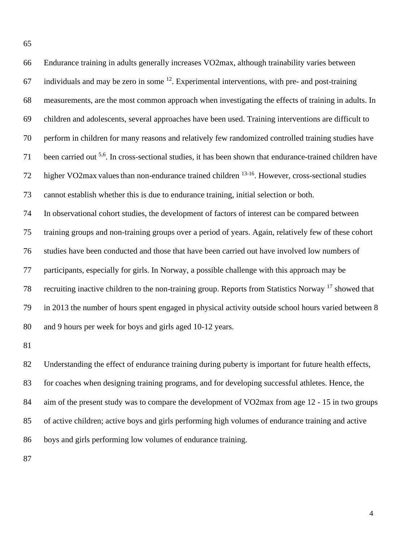| 66 | Endurance training in adults generally increases VO2max, although trainability varies between                        |
|----|----------------------------------------------------------------------------------------------------------------------|
| 67 | individuals and may be zero in some <sup>12</sup> . Experimental interventions, with pre- and post-training          |
| 68 | measurements, are the most common approach when investigating the effects of training in adults. In                  |
| 69 | children and adolescents, several approaches have been used. Training interventions are difficult to                 |
| 70 | perform in children for many reasons and relatively few randomized controlled training studies have                  |
| 71 | been carried out <sup>5,6</sup> . In cross-sectional studies, it has been shown that endurance-trained children have |
| 72 | higher VO2max values than non-endurance trained children <sup>13-16</sup> . However, cross-sectional studies         |
| 73 | cannot establish whether this is due to endurance training, initial selection or both.                               |
| 74 | In observational cohort studies, the development of factors of interest can be compared between                      |
| 75 | training groups and non-training groups over a period of years. Again, relatively few of these cohort                |
| 76 | studies have been conducted and those that have been carried out have involved low numbers of                        |
| 77 | participants, especially for girls. In Norway, a possible challenge with this approach may be                        |
| 78 | recruiting inactive children to the non-training group. Reports from Statistics Norway <sup>17</sup> showed that     |
| 79 | in 2013 the number of hours spent engaged in physical activity outside school hours varied between 8                 |
| 80 | and 9 hours per week for boys and girls aged 10-12 years.                                                            |
| 81 |                                                                                                                      |
|    |                                                                                                                      |

 Understanding the effect of endurance training during puberty is important for future health effects, for coaches when designing training programs, and for developing successful athletes. Hence, the 84 aim of the present study was to compare the development of VO2max from age 12 - 15 in two groups of active children; active boys and girls performing high volumes of endurance training and active boys and girls performing low volumes of endurance training.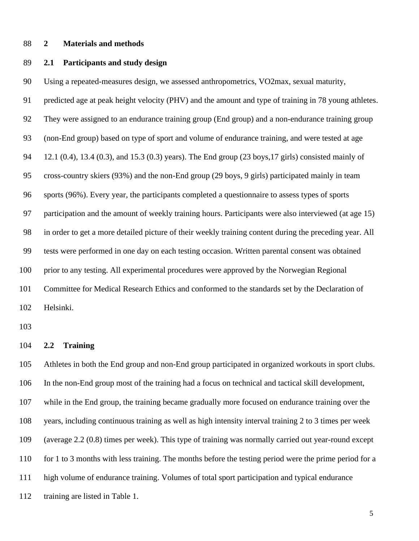#### **2 Materials and methods**

### **2.1 Participants and study design**

Using a repeated-measures design, we assessed anthropometrics, VO2max, sexual maturity,

 predicted age at peak height velocity (PHV) and the amount and type of training in 78 young athletes. They were assigned to an endurance training group (End group) and a non-endurance training group (non-End group) based on type of sport and volume of endurance training, and were tested at age 12.1 (0.4), 13.4 (0.3), and 15.3 (0.3) years). The End group (23 boys,17 girls) consisted mainly of cross-country skiers (93%) and the non-End group (29 boys, 9 girls) participated mainly in team sports (96%). Every year, the participants completed a questionnaire to assess types of sports participation and the amount of weekly training hours. Participants were also interviewed (at age 15) in order to get a more detailed picture of their weekly training content during the preceding year. All tests were performed in one day on each testing occasion. Written parental consent was obtained prior to any testing. All experimental procedures were approved by the Norwegian Regional Committee for Medical Research Ethics and conformed to the standards set by the Declaration of Helsinki.

#### **2.2 Training**

 Athletes in both the End group and non-End group participated in organized workouts in sport clubs. In the non-End group most of the training had a focus on technical and tactical skill development, while in the End group, the training became gradually more focused on endurance training over the years, including continuous training as well as high intensity interval training 2 to 3 times per week (average 2.2 (0.8) times per week). This type of training was normally carried out year-round except for 1 to 3 months with less training. The months before the testing period were the prime period for a high volume of endurance training. Volumes of total sport participation and typical endurance training are listed in Table 1.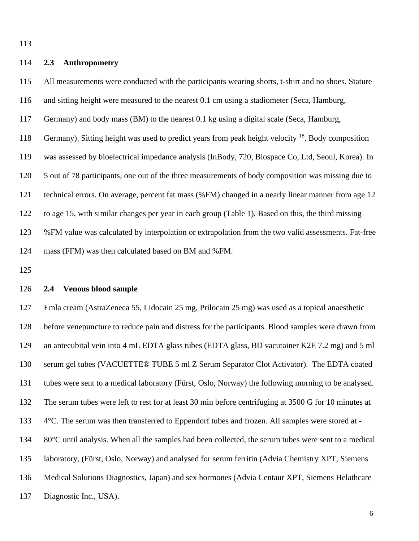## **2.3 Anthropometry**

 All measurements were conducted with the participants wearing shorts, t-shirt and no shoes. Stature and sitting height were measured to the nearest 0.1 cm using a stadiometer (Seca, Hamburg, Germany) and body mass (BM) to the nearest 0.1 kg using a digital scale (Seca, Hamburg, 118 Germany). Sitting height was used to predict years from peak height velocity . Body composition was assessed by bioelectrical impedance analysis (InBody, 720, Biospace Co, Ltd, Seoul, Korea). In 5 out of 78 participants, one out of the three measurements of body composition was missing due to technical errors. On average, percent fat mass (%FM) changed in a nearly linear manner from age 12 to age 15, with similar changes per year in each group (Table 1). Based on this, the third missing %FM value was calculated by interpolation or extrapolation from the two valid assessments. Fat-free mass (FFM) was then calculated based on BM and %FM.

### **2.4 Venous blood sample**

 Emla cream (AstraZeneca 55, Lidocain 25 mg, Prilocain 25 mg) was used as a topical anaesthetic before venepuncture to reduce pain and distress for the participants. Blood samples were drawn from an antecubital vein into 4 mL EDTA glass tubes (EDTA glass, BD vacutainer K2E 7.2 mg) and 5 ml serum gel tubes (VACUETTE® TUBE 5 ml Z Serum Separator Clot Activator). The EDTA coated tubes were sent to a medical laboratory (Fürst, Oslo, Norway) the following morning to be analysed. The serum tubes were left to rest for at least 30 min before centrifuging at 3500 G for 10 minutes at 4°C. The serum was then transferred to Eppendorf tubes and frozen. All samples were stored at - 80°C until analysis. When all the samples had been collected, the serum tubes were sent to a medical laboratory, (Fürst, Oslo, Norway) and analysed for serum ferritin (Advia Chemistry XPT, Siemens Medical Solutions Diagnostics, Japan) and sex hormones (Advia Centaur XPT, Siemens Helathcare Diagnostic Inc., USA).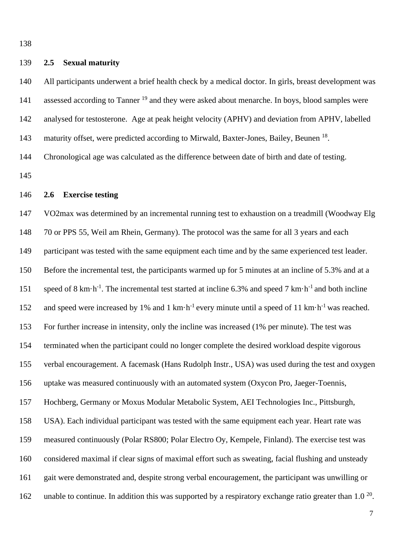### **2.5 Sexual maturity**

 All participants underwent a brief health check by a medical doctor. In girls, breast development was 141 assessed according to Tanner<sup>19</sup> and they were asked about menarche. In boys, blood samples were analysed for testosterone. Age at peak height velocity (APHV) and deviation from APHV, labelled 143 maturity offset, were predicted according to Mirwald, Baxter-Jones, Bailey, Beunen <sup>18</sup>. Chronological age was calculated as the difference between date of birth and date of testing.

# **2.6 Exercise testing**

 VO2max was determined by an incremental running test to exhaustion on a treadmill (Woodway Elg 148 70 or PPS 55, Weil am Rhein, Germany). The protocol was the same for all 3 years and each 149 participant was tested with the same equipment each time and by the same experienced test leader. Before the incremental test, the participants warmed up for 5 minutes at an incline of 5.3% and at a 151 speed of 8 km·h<sup>-1</sup>. The incremental test started at incline 6.3% and speed 7 km·h<sup>-1</sup> and both incline 152 and speed were increased by 1% and 1 km·h<sup>-1</sup> every minute until a speed of 11 km·h<sup>-1</sup> was reached. For further increase in intensity, only the incline was increased (1% per minute). The test was terminated when the participant could no longer complete the desired workload despite vigorous verbal encouragement. A facemask (Hans Rudolph Instr., USA) was used during the test and oxygen uptake was measured continuously with an automated system (Oxycon Pro, Jaeger-Toennis, Hochberg, Germany or Moxus Modular Metabolic System, AEI Technologies Inc., Pittsburgh, USA). Each individual participant was tested with the same equipment each year. Heart rate was measured continuously (Polar RS800; Polar Electro Oy, Kempele, Finland). The exercise test was considered maximal if clear signs of maximal effort such as sweating, facial flushing and unsteady gait were demonstrated and, despite strong verbal encouragement, the participant was unwilling or 162 unable to continue. In addition this was supported by a respiratory exchange ratio greater than 1.0  $^{20}$ .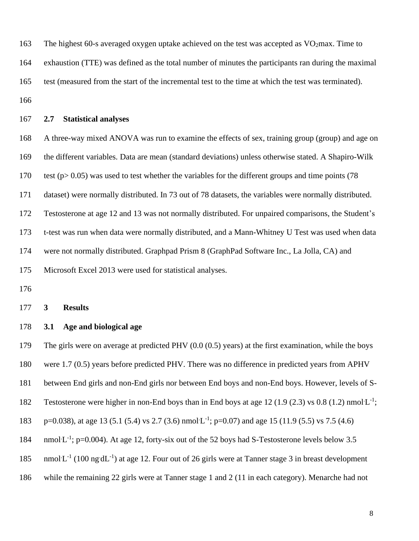163 The highest 60-s averaged oxygen uptake achieved on the test was accepted as  $VO<sub>2</sub>$ max. Time to exhaustion (TTE) was defined as the total number of minutes the participants ran during the maximal test (measured from the start of the incremental test to the time at which the test was terminated). 

#### **2.7 Statistical analyses**

 A three-way mixed ANOVA was run to examine the effects of sex, training group (group) and age on the different variables. Data are mean (standard deviations) unless otherwise stated. A Shapiro-Wilk test (p> 0.05) was used to test whether the variables for the different groups and time points (78 dataset) were normally distributed. In 73 out of 78 datasets, the variables were normally distributed. Testosterone at age 12 and 13 was not normally distributed. For unpaired comparisons, the Student's t-test was run when data were normally distributed, and a Mann-Whitney U Test was used when data were not normally distributed. Graphpad Prism 8 (GraphPad Software Inc., La Jolla, CA) and Microsoft Excel 2013 were used for statistical analyses.

**3 Results**

## **3.1 Age and biological age**

The girls were on average at predicted PHV (0.0 (0.5) years) at the first examination, while the boys

were 1.7 (0.5) years before predicted PHV. There was no difference in predicted years from APHV

between End girls and non-End girls nor between End boys and non-End boys. However, levels of S-

- 182 Testosterone were higher in non-End boys than in End boys at age 12 (1.9 (2.3) vs 0.8 (1.2) nmol  $L^{-1}$ ;
- 183 p=0.038), at age 13 (5.1 (5.4) vs 2.7 (3.6) nmol L<sup>-1</sup>; p=0.07) and age 15 (11.9 (5.5) vs 7.5 (4.6)
- 184 nmol: L<sup>-1</sup>; p=0.004). At age 12, forty-six out of the 52 boys had S-Testosterone levels below 3.5
- 185 nmol  $L^{-1}$  (100 ng d $L^{-1}$ ) at age 12. Four out of 26 girls were at Tanner stage 3 in breast development
- while the remaining 22 girls were at Tanner stage 1 and 2 (11 in each category). Menarche had not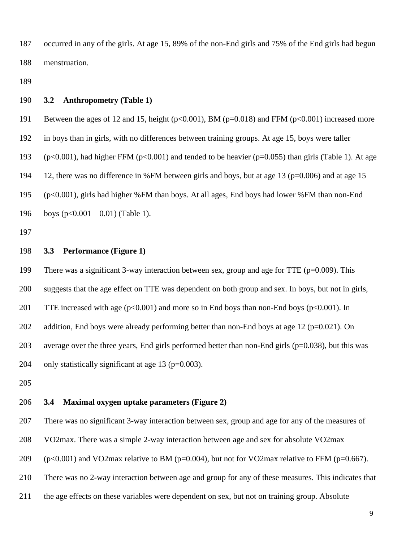occurred in any of the girls. At age 15, 89% of the non-End girls and 75% of the End girls had begun menstruation.

#### **3.2 Anthropometry (Table 1)**

191 Between the ages of 12 and 15, height (p<0.001), BM (p=0.018) and FFM (p<0.001) increased more

in boys than in girls, with no differences between training groups. At age 15, boys were taller

(p<0.001), had higher FFM (p<0.001) and tended to be heavier (p=0.055) than girls (Table 1). At age

12, there was no difference in %FM between girls and boys, but at age 13 (p=0.006) and at age 15

(p<0.001), girls had higher %FM than boys. At all ages, End boys had lower %FM than non-End

196 boys  $(p<0.001 - 0.01)$  (Table 1).

# **3.3 Performance (Figure 1)**

199 There was a significant 3-way interaction between sex, group and age for TTE (p=0.009). This suggests that the age effect on TTE was dependent on both group and sex. In boys, but not in girls, 201 TTE increased with age (p<0.001) and more so in End boys than non-End boys (p<0.001). In 202 addition, End boys were already performing better than non-End boys at age 12 ( $p=0.021$ ). On average over the three years, End girls performed better than non-End girls (p=0.038), but this was 204 only statistically significant at age ( $p=0.003$ ).

# **3.4 Maximal oxygen uptake parameters (Figure 2)**

There was no significant 3-way interaction between sex, group and age for any of the measures of

VO2max. There was a simple 2-way interaction between age and sex for absolute VO2max

209 (p<0.001) and VO2max relative to BM (p=0.004), but not for VO2max relative to FFM (p=0.667).

There was no 2-way interaction between age and group for any of these measures. This indicates that

the age effects on these variables were dependent on sex, but not on training group. Absolute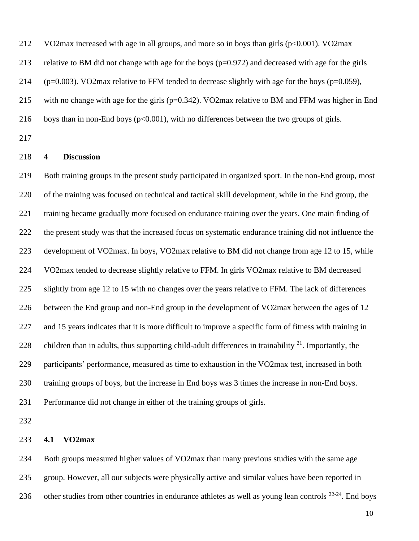VO2max increased with age in all groups, and more so in boys than girls (p<0.001). VO2max

relative to BM did not change with age for the boys (p=0.972) and decreased with age for the girls

214 ( $p=0.003$ ). VO2max relative to FFM tended to decrease slightly with age for the boys ( $p=0.059$ ),

with no change with age for the girls (p=0.342). VO2max relative to BM and FFM was higher in End

- 216 boys than in non-End boys ( $p<0.001$ ), with no differences between the two groups of girls.
- 

# **4 Discussion**

 Both training groups in the present study participated in organized sport. In the non-End group, most of the training was focused on technical and tactical skill development, while in the End group, the training became gradually more focused on endurance training over the years. One main finding of the present study was that the increased focus on systematic endurance training did not influence the development of VO2max. In boys, VO2max relative to BM did not change from age 12 to 15, while VO2max tended to decrease slightly relative to FFM. In girls VO2max relative to BM decreased slightly from age 12 to 15 with no changes over the years relative to FFM. The lack of differences between the End group and non-End group in the development of VO2max between the ages of 12 and 15 years indicates that it is more difficult to improve a specific form of fitness with training in 228 children than in adults, thus supporting child-adult differences in trainability  $2^1$ . Importantly, the participants' performance, measured as time to exhaustion in the VO2max test, increased in both training groups of boys, but the increase in End boys was 3 times the increase in non-End boys. Performance did not change in either of the training groups of girls.

# **4.1 VO2max**

 Both groups measured higher values of VO2max than many previous studies with the same age group. However, all our subjects were physically active and similar values have been reported in 236 other studies from other countries in endurance athletes as well as young lean controls  $22-24$ . End boys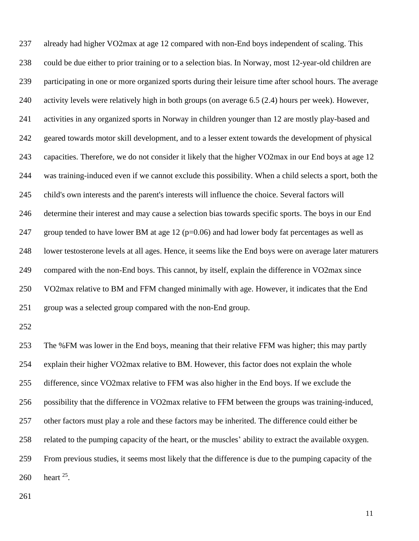already had higher VO2max at age 12 compared with non-End boys independent of scaling. This could be due either to prior training or to a selection bias. In Norway, most 12-year-old children are participating in one or more organized sports during their leisure time after school hours. The average activity levels were relatively high in both groups (on average 6.5 (2.4) hours per week). However, activities in any organized sports in Norway in children younger than 12 are mostly play-based and geared towards motor skill development, and to a lesser extent towards the development of physical capacities. Therefore, we do not consider it likely that the higher VO2max in our End boys at age 12 was training-induced even if we cannot exclude this possibility. When a child selects a sport, both the child's own interests and the parent's interests will influence the choice. Several factors will determine their interest and may cause a selection bias towards specific sports. The boys in our End 247 group tended to have lower BM at age 12 ( $p=0.06$ ) and had lower body fat percentages as well as lower testosterone levels at all ages. Hence, it seems like the End boys were on average later maturers compared with the non-End boys. This cannot, by itself, explain the difference in VO2max since VO2max relative to BM and FFM changed minimally with age. However, it indicates that the End group was a selected group compared with the non-End group. The %FM was lower in the End boys, meaning that their relative FFM was higher; this may partly explain their higher VO2max relative to BM. However, this factor does not explain the whole difference, since VO2max relative to FFM was also higher in the End boys. If we exclude the possibility that the difference in VO2max relative to FFM between the groups was training-induced, other factors must play a role and these factors may be inherited. The difference could either be related to the pumping capacity of the heart, or the muscles' ability to extract the available oxygen. From previous studies, it seems most likely that the difference is due to the pumping capacity of the

260 heart .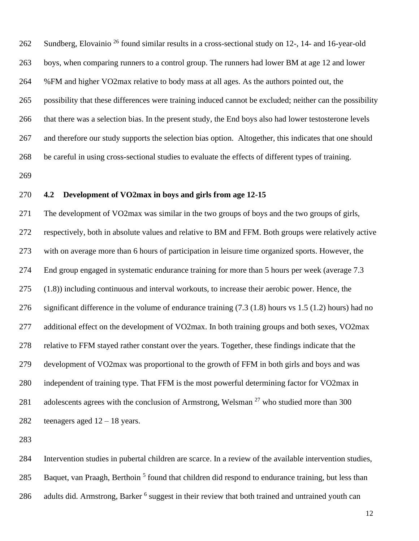262 Sundberg, Elovainio <sup>26</sup> found similar results in a cross-sectional study on 12-, 14- and 16-year-old boys, when comparing runners to a control group. The runners had lower BM at age 12 and lower %FM and higher VO2max relative to body mass at all ages. As the authors pointed out, the possibility that these differences were training induced cannot be excluded; neither can the possibility that there was a selection bias. In the present study, the End boys also had lower testosterone levels and therefore our study supports the selection bias option. Altogether, this indicates that one should be careful in using cross-sectional studies to evaluate the effects of different types of training. 

## **4.2 Development of VO2max in boys and girls from age 12-15**

 The development of VO2max was similar in the two groups of boys and the two groups of girls, respectively, both in absolute values and relative to BM and FFM. Both groups were relatively active with on average more than 6 hours of participation in leisure time organized sports. However, the End group engaged in systematic endurance training for more than 5 hours per week (average 7.3 (1.8)) including continuous and interval workouts, to increase their aerobic power. Hence, the significant difference in the volume of endurance training (7.3 (1.8) hours vs 1.5 (1.2) hours) had no additional effect on the development of VO2max. In both training groups and both sexes, VO2max relative to FFM stayed rather constant over the years. Together, these findings indicate that the development of VO2max was proportional to the growth of FFM in both girls and boys and was independent of training type. That FFM is the most powerful determining factor for VO2max in 281 adolescents agrees with the conclusion of Armstrong, Welsman<sup>27</sup> who studied more than 300 282 teenagers aged  $12 - 18$  years.

 Intervention studies in pubertal children are scarce. In a review of the available intervention studies, 285 Baquet, van Praagh, Berthoin<sup>5</sup> found that children did respond to endurance training, but less than 286 adults did. Armstrong, Barker <sup>6</sup> suggest in their review that both trained and untrained youth can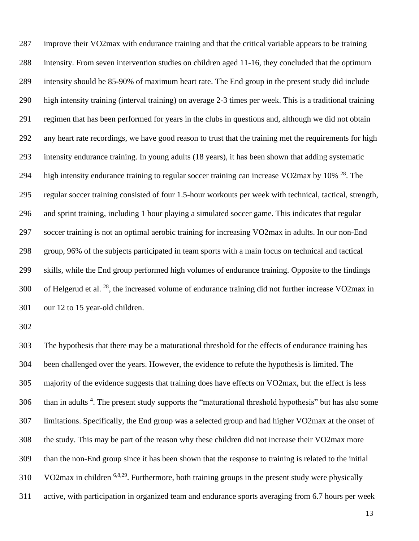improve their VO2max with endurance training and that the critical variable appears to be training intensity. From seven intervention studies on children aged 11-16, they concluded that the optimum intensity should be 85-90% of maximum heart rate. The End group in the present study did include high intensity training (interval training) on average 2-3 times per week. This is a traditional training regimen that has been performed for years in the clubs in questions and, although we did not obtain any heart rate recordings, we have good reason to trust that the training met the requirements for high intensity endurance training. In young adults (18 years), it has been shown that adding systematic 294 high intensity endurance training to regular soccer training can increase VO2max by  $10\%$  <sup>28</sup>. The regular soccer training consisted of four 1.5-hour workouts per week with technical, tactical, strength, and sprint training, including 1 hour playing a simulated soccer game. This indicates that regular soccer training is not an optimal aerobic training for increasing VO2max in adults. In our non-End group, 96% of the subjects participated in team sports with a main focus on technical and tactical skills, while the End group performed high volumes of endurance training. Opposite to the findings 300 of Helgerud et al.  $^{28}$ , the increased volume of endurance training did not further increase VO2max in our 12 to 15 year-old children.

 The hypothesis that there may be a maturational threshold for the effects of endurance training has been challenged over the years. However, the evidence to refute the hypothesis is limited. The majority of the evidence suggests that training does have effects on VO2max, but the effect is less 306 than in adults <sup>4</sup>. The present study supports the "maturational threshold hypothesis" but has also some limitations. Specifically, the End group was a selected group and had higher VO2max at the onset of the study. This may be part of the reason why these children did not increase their VO2max more than the non-End group since it has been shown that the response to training is related to the initial VO2max in children <sup>6,8,29</sup>. Furthermore, both training groups in the present study were physically active, with participation in organized team and endurance sports averaging from 6.7 hours per week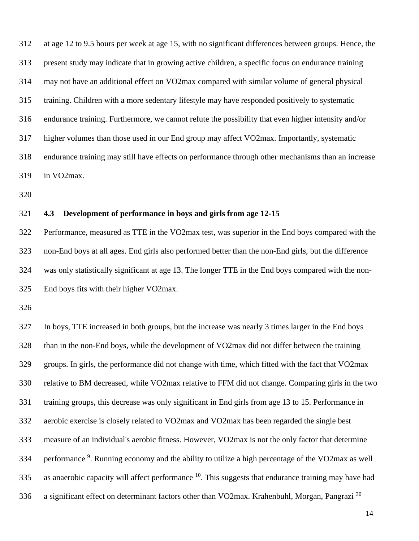at age 12 to 9.5 hours per week at age 15, with no significant differences between groups. Hence, the present study may indicate that in growing active children, a specific focus on endurance training may not have an additional effect on VO2max compared with similar volume of general physical training. Children with a more sedentary lifestyle may have responded positively to systematic endurance training. Furthermore, we cannot refute the possibility that even higher intensity and/or higher volumes than those used in our End group may affect VO2max. Importantly, systematic endurance training may still have effects on performance through other mechanisms than an increase in VO2max.

# **4.3 Development of performance in boys and girls from age 12-15**

 Performance, measured as TTE in the VO2max test, was superior in the End boys compared with the non-End boys at all ages. End girls also performed better than the non-End girls, but the difference was only statistically significant at age 13. The longer TTE in the End boys compared with the non-End boys fits with their higher VO2max.

 In boys, TTE increased in both groups, but the increase was nearly 3 times larger in the End boys than in the non-End boys, while the development of VO2max did not differ between the training groups. In girls, the performance did not change with time, which fitted with the fact that VO2max relative to BM decreased, while VO2max relative to FFM did not change. Comparing girls in the two training groups, this decrease was only significant in End girls from age 13 to 15. Performance in aerobic exercise is closely related to VO2max and VO2max has been regarded the single best measure of an individual's aerobic fitness. However, VO2max is not the only factor that determine 334 performance <sup>9</sup>. Running economy and the ability to utilize a high percentage of the VO2max as well 335 as anaerobic capacity will affect performance . This suggests that endurance training may have had 336 a significant effect on determinant factors other than VO2max. Krahenbuhl, Morgan, Pangrazi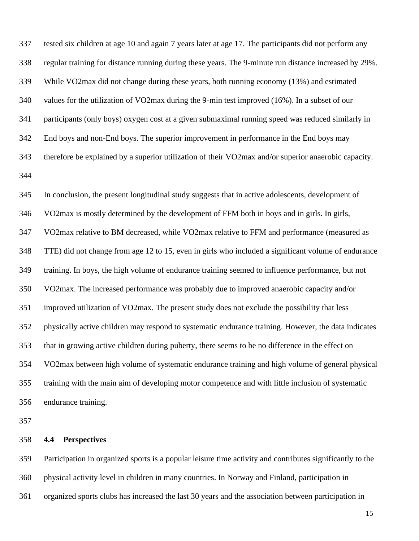| 337 | tested six children at age 10 and again 7 years later at age 17. The participants did not perform any |
|-----|-------------------------------------------------------------------------------------------------------|
| 338 | regular training for distance running during these years. The 9-minute run distance increased by 29%. |
| 339 | While VO2max did not change during these years, both running economy (13%) and estimated              |
| 340 | values for the utilization of VO2max during the 9-min test improved (16%). In a subset of our         |
| 341 | participants (only boys) oxygen cost at a given submaximal running speed was reduced similarly in     |
| 342 | End boys and non-End boys. The superior improvement in performance in the End boys may                |
| 343 | therefore be explained by a superior utilization of their VO2max and/or superior anaerobic capacity.  |
| 344 |                                                                                                       |
| 345 | In conclusion, the present longitudinal study suggests that in active adolescents, development of     |
| 346 | VO2max is mostly determined by the development of FFM both in boys and in girls. In girls,            |
| 347 | VO2max relative to BM decreased, while VO2max relative to FFM and performance (measured as            |
| 348 | TTE) did not change from age 12 to 15, even in girls who included a significant volume of endurance   |
| 349 | training. In boys, the high volume of endurance training seemed to influence performance, but not     |
| 350 | VO2max. The increased performance was probably due to improved anaerobic capacity and/or              |
| 351 | improved utilization of VO2max. The present study does not exclude the possibility that less          |
| 352 | physically active children may respond to systematic endurance training. However, the data indicates  |
| 353 | that in growing active children during puberty, there seems to be no difference in the effect on      |
| 354 | VO2max between high volume of systematic endurance training and high volume of general physical       |
| 355 | training with the main aim of developing motor competence and with little inclusion of systematic     |
| 356 | endurance training.                                                                                   |
| 357 |                                                                                                       |
| 358 | <b>Perspectives</b><br>4.4                                                                            |

 Participation in organized sports is a popular leisure time activity and contributes significantly to the physical activity level in children in many countries. In Norway and Finland, participation in organized sports clubs has increased the last 30 years and the association between participation in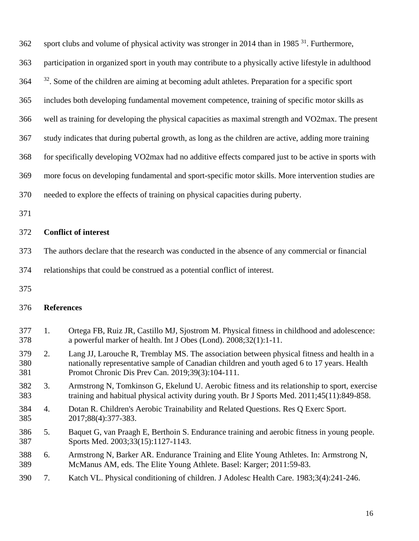|  |  |  | 362 sport clubs and volume of physical activity was stronger in 2014 than in 1985 <sup>31</sup> . Furthermore, |
|--|--|--|----------------------------------------------------------------------------------------------------------------|
|--|--|--|----------------------------------------------------------------------------------------------------------------|

participation in organized sport in youth may contribute to a physically active lifestyle in adulthood

364 <sup>32</sup>. Some of the children are aiming at becoming adult athletes. Preparation for a specific sport

includes both developing fundamental movement competence, training of specific motor skills as

well as training for developing the physical capacities as maximal strength and VO2max. The present

study indicates that during pubertal growth, as long as the children are active, adding more training

for specifically developing VO2max had no additive effects compared just to be active in sports with

more focus on developing fundamental and sport-specific motor skills. More intervention studies are

- needed to explore the effects of training on physical capacities during puberty.
- 

# **Conflict of interest**

The authors declare that the research was conducted in the absence of any commercial or financial

relationships that could be construed as a potential conflict of interest.

# **References**

- 1. Ortega FB, Ruiz JR, Castillo MJ, Sjostrom M. Physical fitness in childhood and adolescence: a powerful marker of health. Int J Obes (Lond). 2008;32(1):1-11.
- 2. Lang JJ, Larouche R, Tremblay MS. The association between physical fitness and health in a nationally representative sample of Canadian children and youth aged 6 to 17 years. Health Promot Chronic Dis Prev Can. 2019;39(3):104-111.
- 3. Armstrong N, Tomkinson G, Ekelund U. Aerobic fitness and its relationship to sport, exercise training and habitual physical activity during youth. Br J Sports Med. 2011;45(11):849-858.
- 4. Dotan R. Children's Aerobic Trainability and Related Questions. Res Q Exerc Sport. 2017;88(4):377-383.
- 5. Baquet G, van Praagh E, Berthoin S. Endurance training and aerobic fitness in young people. Sports Med. 2003;33(15):1127-1143.
- 6. Armstrong N, Barker AR. Endurance Training and Elite Young Athletes. In: Armstrong N, McManus AM, eds. The Elite Young Athlete. Basel: Karger; 2011:59-83.
- 7. Katch VL. Physical conditioning of children. J Adolesc Health Care. 1983;3(4):241-246.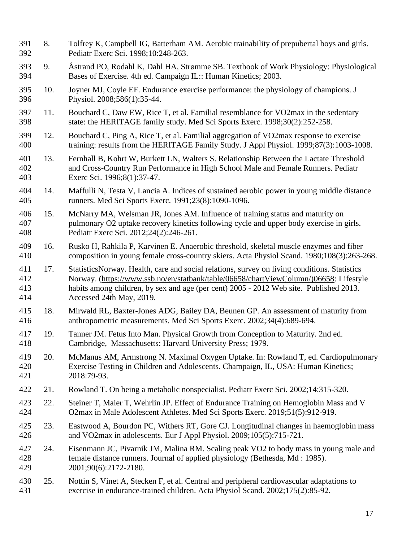8. Tolfrey K, Campbell IG, Batterham AM. Aerobic trainability of prepubertal boys and girls. Pediatr Exerc Sci. 1998;10:248-263. 9. Åstrand PO, Rodahl K, Dahl HA, Strømme SB. Textbook of Work Physiology: Physiological Bases of Exercise. 4th ed. Campaign IL:: Human Kinetics; 2003. 10. Joyner MJ, Coyle EF. Endurance exercise performance: the physiology of champions. J Physiol. 2008;586(1):35-44. 11. Bouchard C, Daw EW, Rice T, et al. Familial resemblance for VO2max in the sedentary state: the HERITAGE family study. Med Sci Sports Exerc. 1998;30(2):252-258. 12. Bouchard C, Ping A, Rice T, et al. Familial aggregation of VO2max response to exercise training: results from the HERITAGE Family Study. J Appl Physiol. 1999;87(3):1003-1008. 13. Fernhall B, Kohrt W, Burkett LN, Walters S. Relationship Between the Lactate Threshold and Cross-Country Run Performance in High School Male and Female Runners. Pediatr Exerc Sci. 1996;8(1):37-47. 14. Maffulli N, Testa V, Lancia A. Indices of sustained aerobic power in young middle distance runners. Med Sci Sports Exerc. 1991;23(8):1090-1096. 15. McNarry MA, Welsman JR, Jones AM. Influence of training status and maturity on pulmonary O2 uptake recovery kinetics following cycle and upper body exercise in girls. Pediatr Exerc Sci. 2012;24(2):246-261. 16. Rusko H, Rahkila P, Karvinen E. Anaerobic threshold, skeletal muscle enzymes and fiber composition in young female cross-country skiers. Acta Physiol Scand. 1980;108(3):263-268. 17. StatisticsNorway. Health, care and social relations, survey on living conditions. Statistics Norway. [\(https://www.ssb.no/en/statbank/table/06658/chartViewColumn/\)06658:](https://www.ssb.no/en/statbank/table/06658/chartViewColumn/)06658) Lifestyle habits among children, by sex and age (per cent) 2005 - 2012 Web site. Published 2013. Accessed 24th May, 2019. 18. Mirwald RL, Baxter-Jones ADG, Bailey DA, Beunen GP. An assessment of maturity from anthropometric measurements. Med Sci Sports Exerc. 2002;34(4):689-694. 19. Tanner JM. Fetus Into Man. Physical Growth from Conception to Maturity. 2nd ed. Cambridge, Massachusetts: Harvard University Press; 1979. 20. McManus AM, Armstrong N. Maximal Oxygen Uptake. In: Rowland T, ed. Cardiopulmonary Exercise Testing in Children and Adolescents. Champaign, IL, USA: Human Kinetics; 2018:79-93. 21. Rowland T. On being a metabolic nonspecialist. Pediatr Exerc Sci. 2002;14:315-320. 22. Steiner T, Maier T, Wehrlin JP. Effect of Endurance Training on Hemoglobin Mass and V O2max in Male Adolescent Athletes. Med Sci Sports Exerc. 2019;51(5):912-919. 23. Eastwood A, Bourdon PC, Withers RT, Gore CJ. Longitudinal changes in haemoglobin mass and VO2max in adolescents. Eur J Appl Physiol. 2009;105(5):715-721. 24. Eisenmann JC, Pivarnik JM, Malina RM. Scaling peak VO2 to body mass in young male and female distance runners. Journal of applied physiology (Bethesda, Md : 1985). 2001;90(6):2172-2180. 25. Nottin S, Vinet A, Stecken F, et al. Central and peripheral cardiovascular adaptations to exercise in endurance-trained children. Acta Physiol Scand. 2002;175(2):85-92.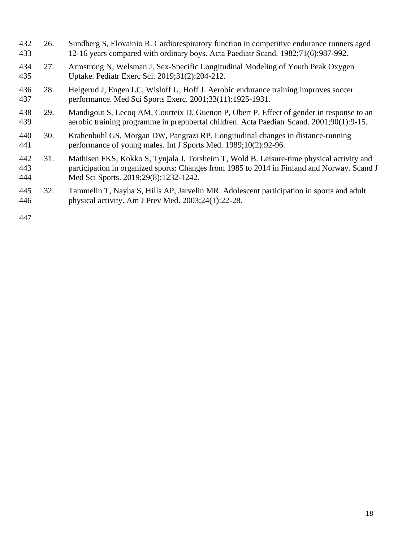| 432<br>433        | 26. | Sundberg S, Elovainio R. Cardiorespiratory function in competitive endurance runners aged<br>12-16 years compared with ordinary boys. Acta Paediatr Scand. 1982;71(6):987-992.                                                   |
|-------------------|-----|----------------------------------------------------------------------------------------------------------------------------------------------------------------------------------------------------------------------------------|
| 434<br>435        | 27. | Armstrong N, Welsman J. Sex-Specific Longitudinal Modeling of Youth Peak Oxygen<br>Uptake. Pediatr Exerc Sci. 2019;31(2):204-212.                                                                                                |
| 436<br>437        | 28. | Helgerud J, Engen LC, Wisloff U, Hoff J. Aerobic endurance training improves soccer<br>performance. Med Sci Sports Exerc. 2001;33(11):1925-1931.                                                                                 |
| 438<br>439        | 29. | Mandigout S, Lecoq AM, Courteix D, Guenon P, Obert P. Effect of gender in response to an<br>aerobic training programme in prepubertal children. Acta Paediatr Scand. 2001;90(1):9-15.                                            |
| 440<br>441        | 30. | Krahenbuhl GS, Morgan DW, Pangrazi RP. Longitudinal changes in distance-running<br>performance of young males. Int J Sports Med. 1989;10(2):92-96.                                                                               |
| 442<br>443<br>444 | 31. | Mathisen FKS, Kokko S, Tynjala J, Torsheim T, Wold B. Leisure-time physical activity and<br>participation in organized sports: Changes from 1985 to 2014 in Finland and Norway. Scand J<br>Med Sci Sports. 2019;29(8):1232-1242. |
| 445<br>446        | 32. | Tammelin T, Nayha S, Hills AP, Jarvelin MR. Adolescent participation in sports and adult<br>physical activity. Am J Prev Med. $2003;24(1):22-28$ .                                                                               |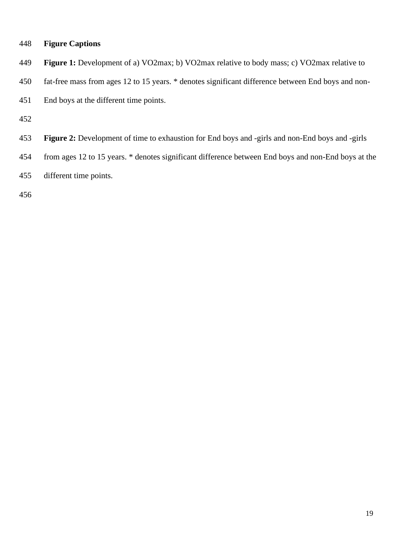|  | 448 |  | <b>Figure Captions</b> |
|--|-----|--|------------------------|
|--|-----|--|------------------------|

- **Figure 1:** Development of a) VO2max; b) VO2max relative to body mass; c) VO2max relative to
- fat-free mass from ages 12 to 15 years. \* denotes significant difference between End boys and non-
- End boys at the different time points.

- **Figure 2:** Development of time to exhaustion for End boys and -girls and non-End boys and -girls
- from ages 12 to 15 years. \* denotes significant difference between End boys and non-End boys at the
- different time points.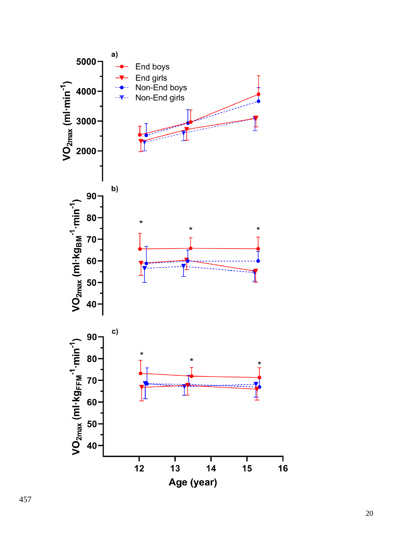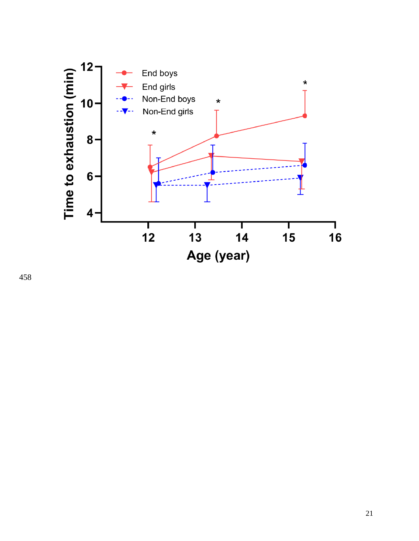